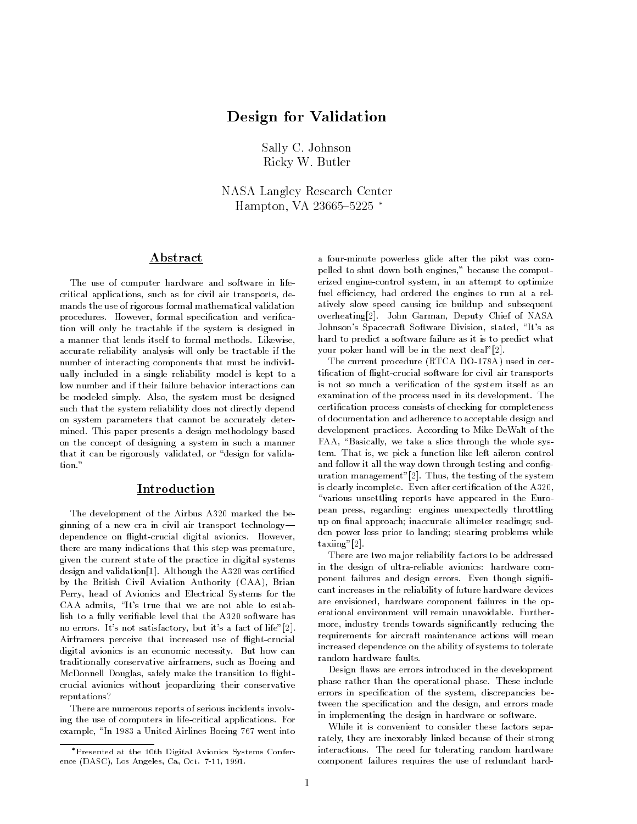# Design for Validation

Sally C. Johnson Ricky W. Butler

NASA Langley Research Center Hampton, VA 23665-5225 \*

#### Abstract

The use of computer hardware and software in lifecritical applications, such as for civil air transports, demands the use of rigorous formal mathematical validation procedures. However, formal specification and verification will only be tractable if the system is designed in a manner that lends itself to formal methods. Likewise, accurate reliability analysis will only be tractable if the number of interacting components that must be individually included in a single reliability model is kept to a low number and if their failure behavior interactions can be modeled simply. Also, the system must be designed such that the system reliability does not directly depend on system parameters that cannot be accurately determined. This paper presents a design methodology based on the concept of designing a system in such a manner that it can be rigorously validated, or "design for validation."

### **Introduction**

The development of the Airbus A320 marked the beginning of a new era in civil air transport technology| dependence on flight-crucial digital avionics. However, there are many indications that this step was premature, given the current state of the practice in digital systems design and validation<sup>[1]</sup>. Although the A320 was certified by the British Civil Aviation Authority (CAA), Brian Perry, head of Avionics and Electrical Systems for the CAA admits, "It's true that we are not able to establish to a fully veriable level that the A320 software has no errors. It's not satisfactory, but it's a fact of life"[2]. Airframers perceive that increased use of flight-crucial digital avionics is an economic necessity. But how can traditionally conservative airframers, such as Boeing and McDonnell Douglas, safely make the transition to flightcrucial avionics without jeopardizing their conservative reputations? reputations?

There are numerous reports of serious incidents involving the use of computers in life-critical applications. For example, \In 1983 a United Airlines Boeing 767 went into

a four-minute powerless glide after the pilot was compelled to shut down both engines," because the computerized engine-control system, in an attempt to optimize fuel efficiency, had ordered the engines to run at a relatively slow speed causing ice buildup and subsequent overheating[2]. John Garman, Deputy Chief of NASA Johnson's Spacecraft Software Division, stated, \It's as hard to predict a software failure as it is to predict what your poker hand will be in the next deal"[2].

The current procedure (RTCA DO-178A) used in certification of flight-crucial software for civil air transports is not so much a verification of the system itself as an examination of the process used in its development. The certication process consists of checking for completeness of documentation and adherence to acceptable design and development practices. According to Mike DeWalt of the FAA, "Basically, we take a slice through the whole system. That is, we pick a function like left aileron control and follow it all the way down through testing and configuration management"[2]. Thus, the testing of the system is clearly incomplete. Even after certification of the A320, "various unsettling reports have appeared in the European press, regarding: engines unexpectedly throttling up on final approach; inaccurate altimeter readings; sudden power loss prior to landing; stearing problems while taxiing"[2 ].

There are two major reliability factors to be addressed in the design of ultra-reliable avionics: hardware component failures and design errors. Even though significant increases in the reliability of future hardware devices are envisioned, hardware component failures in the operational environment will remain unavoidable. Furthermore, industry trends towards signicantly reducing the requirements for aircraft maintenance actions will mean increased dependence on the ability of systems to tolerate random hardware faults.

Design flaws are errors introduced in the development phase rather than the operational phase. These include errors in specication of the system, discrepancies between the specification and the design, and errors made in implementing the design in hardware or software.

While it is convenient to consider these factors separately, they are inexorably linked because of their strong interactions. The need for tolerating random hardware component failures requires the use of redundant hard-

Presented at the 10th Digital Avionics Systems Conference (DASC), Los Angeles, Ca, Oct. 7-11, 1991.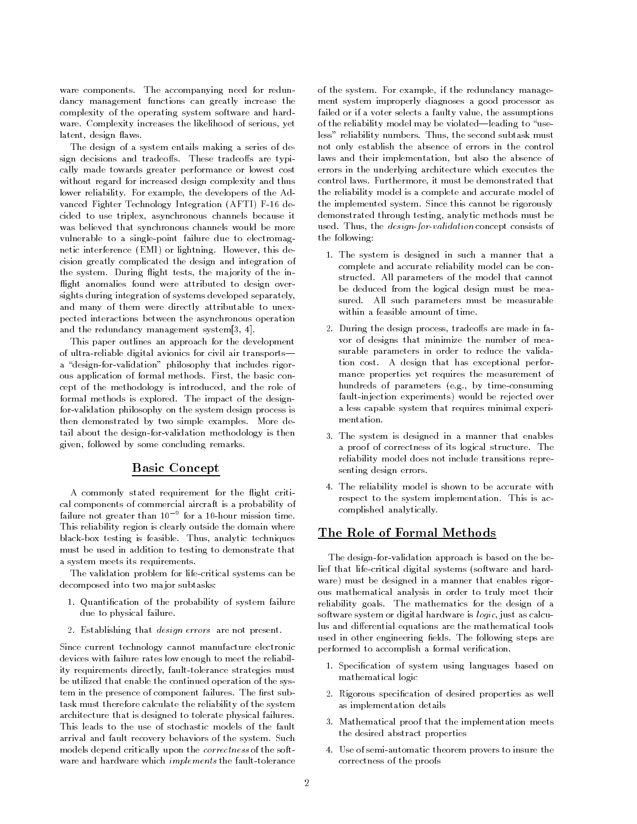ware components. The accompanying need for redundancy management functions can greatly increase the complexity of the operating system software and hard ware. Complexity increases the likelihood of serious, yet latent, design flaws.

The design of a system entails making a series of design decisions and tradeoffs. These tradeoffs are typically made towards greater performance or lowest cost without regard for increased design complexity and thus lower reliability. For example, the developers of the Advanced Fighter Technology Integration (AFTI) F-16 decided to use triplex, asynchronous channels because it was believed that synchronous channels would be more vulnerable to a single-point failure due to electromagnetic interference (EMI) or lightning. However, this decision greatly complicated the design and integration of the system. During flight tests, the majority of the inflight anomalies found were attributed to design oversights during integration of systems developed separately, and many of them were directly attributable to unexpected interactions between the asynchronous operation and the redundancy management system[3, 4].

This paper outlines an approach for the development of ultra-reliable digital avionics for civil air transports| a "design-for-validation" philosophy that includes rigorous application of formal methods. First, the basic concept of the methodology is introduced, and the role of formal methods is explored. The impact of the designfor-validation philosophy on the system design process is then demonstrated by two simple examples. More detail about the design-for-validation methodology is then given, followed by some concluding remarks.

# Basic Concept

A commonly stated requirement for the 
ight critical components of commercial aircraft is a probability of failure not greater than 109 for a 10-hour mission time. This reliability region is clearly outside the domain where black-box testing is feasible. Thus, analytic techniques must be used in addition to testing to demonstrate that a system meets its requirements.

The validation problem for life-critical systems can be decomposed into two major subtasks:

- 1. Quantication of the probability of system failure due to physical failure.
- 2. Establishing that design errors are not present.

Since current technology cannot manufacture electronic devices with failure rates low enough to meet the reliability requirements directly, fault-tolerance strategies must be utilized that enable the continued operation of the system in the presence of component failures. The first subtask must therefore calculate the reliability of the system architecture that is designed to tolerate physical failures. This leads to the use of stochastic models of the fault arrival and fault recovery behaviors of the system. Such models depend critically upon the correctness of the soft ware and hardware which implements the fault-tolerance

of the system. For example, if the redundancy manage ment system improperly diagnoses a good processor as failed or if a voter selects a faulty value, the assumptions of the reliability model may be violated—leading to "useless" reliability numbers. Thus, the second subtask must not only establish the absence of errors in the control laws and their implementation, but also the absence of errors in the underlying architecture which executes the control laws. Furthermore, it must be demonstrated that the reliability model is a complete and accurate model of the implemented system. Since this cannot be rigorously demonstrated through testing, analytic methods must be used. Thus, the *design-for-validation* concept consists of the following:

- 1. The system is designed in such a manner that a complete and accurate reliability model can be constructed. All parameters of the model that cannot be deduced from the logical design must be measured. All such parameters must be measurable within a feasible amount of time.
- 2. During the design process, tradeoffs are made in favor of designs that minimize the number of measurable parameters in order to reduce the validation cost. A design that has exceptional performance properties yet requires the measurement of hundreds of parameters (e.g., by time-consuming fault-injection experiments) would be rejected over a less capable system that requires minimal experi mentation.
- 3. The system is designed in a manner that enables a proof of correctness of its logical structure. The reliability model does not include transitions representing design errors.
- 4. The reliability model is shown to be accurate with respect to the system implementation. This is accomplished analytically.

#### The Role of Formal Methods

The design-for-validation approach is based on the belief that life-critical digital systems (software and hard ware) must be designed in a manner that enables rigorous mathematical analysis in order to truly meet their reliability goals. The mathematics for the design of a software system or digital hardware is logic, just as calculus and differential equations are the mathematical tools used in other engineering fields. The following steps are performed to accomplish a formal verification.

- 1. Specication of system using languages based on mathematical logic
- 2. Rigorous specication of desired properties as well as implementation details
- 3. Mathematical proof that the implementation meets the desired abstract properties
- 4. Use of semi-automatic theorem provers to insure the correctness of the proofs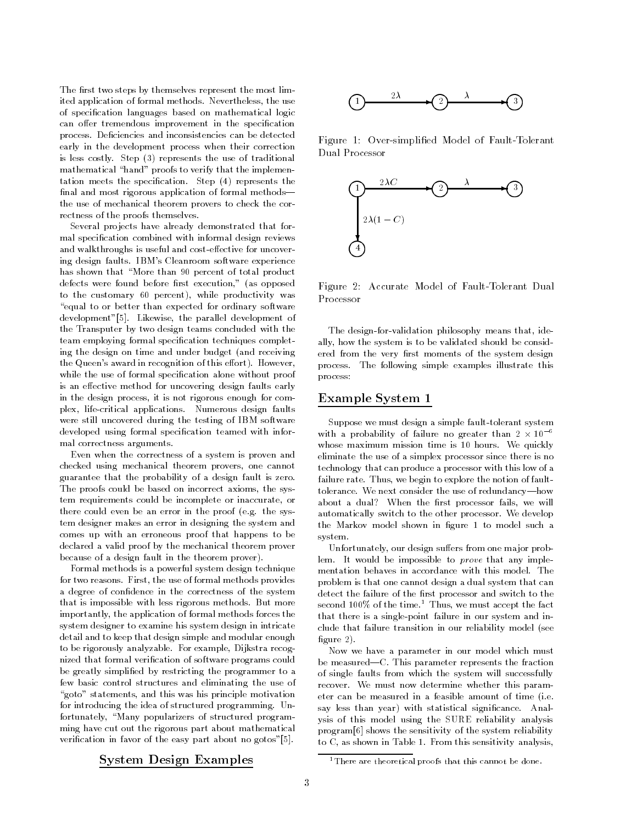The first two steps by themselves represent the most limited application of formal methods. Nevertheless, the use of specication languages based on mathematical logic can offer tremendous improvement in the specification process. Deficiencies and inconsistencies can be detected early in the development process when their correction is less costly. Step (3) represents the use of traditional mathematical "hand" proofs to verify that the implementation meets the specication. Step (4) represents the final and most rigorous application of formal methodsthe use of mechanical theorem provers to check the correctness of the proofs themselves.

Several projects have already demonstrated that formal specication combined with informal design reviews and walkthroughs is useful and cost-effective for uncovering design faults. IBM's Cleanroom software experience has shown that "More than 90 percent of total product defects were found before first execution," (as opposed to the customary 60 percent), while productivity was "equal to or better than expected for ordinary software development"[5 ]. Likewise, the parallel development of the Transputer by two design teams concluded with the team employing formal specication techniques completing the design on time and under budget (and receiving the Queen's award in recognition of this effort). However, while the use of formal specification alone without proof is an effective method for uncovering design faults early in the design process, it is not rigorous enough for complex, life-critical applications. Numerous design faults were still uncovered during the testing of IBM software developed using formal specification teamed with informal correctness arguments.

Even when the correctness of a system is proven and checked using mechanical theorem provers, one cannot guarantee that the probability of a design fault is zero. The proofs could be based on incorrect axioms, the system requirements could be incomplete or inaccurate, or there could even be an error in the proof (e.g. the system designer makes an error in designing the system and comes up with an erroneous proof that happens to be declared a valid proof by the mechanical theorem prover because of a design fault in the theorem prover).

Formal methods is a powerful system design technique for two reasons. First, the use of formal methods provides a degree of condence in the correctness of the system that is impossible with less rigorous methods. But more importantly, the application of formal methods forces the system designer to examine his system design in intricate detail and to keep that design simple and modular enough to be rigorously analyzable. For example, Dijkstra recognized that formal verification of software programs could be greatly simplified by restricting the programmer to a few basic control structures and eliminating the use of "goto" statements, and this was his principle motivation for introducing the idea of structured programming. Unfortunately, "Many popularizers of structured programming have cut out the rigorous part about mathematical verification in favor of the easy part about no gotos"[5].



Figure 1: Over-simplied Model of Fault-Tolerant Dual Processor



Figure 2: Accurate Model of Fault-Tolerant Dual Processor

The design-for-validation philosophy means that, ideally, how the system is to be validated should be considered from the very first moments of the system design process. The following simple examples illustrate this process:

### Example System 1

Suppose we must design a simple fault-tolerant system with a probability of failure no greater than  $2 \times 10^{-5}$ whose maximum mission time is 10 hours. We quickly eliminate the use of a simplex processor since there is no technology that can produce a processor with this low of a failure rate. Thus, we begin to explore the notion of faulttolerance. We next consider the use of redundancy-how about a dual? When the first processor fails, we will automatically switch to the other processor. We develop the Markov model shown in figure 1 to model such a system.

Unfortunately, our design suffers from one major problem. It would be impossible to prove that any imple mentation behaves in accordance with this model. The problem is that one cannot design a dual system that can detect the failure of the first processor and switch to the second  $100\%$  of the time.<sup>1</sup> Thus, we must accept the fact that there is a single-point failure in our system and include that failure transition in our reliability model (see figure 2).

Now we have a parameter in our model which must be measured—C. This parameter represents the fraction of single faults from which the system will successfully recover. We must now determine whether this parameter can be measured in a feasible amount of time (i.e. say less than year) with statistical significance. Analysis of this model using the SURE reliability analysis program[6] shows the sensitivity of the system reliability to C, as shown in Table 1. From this sensitivity analysis,

## System Design Examples

 $1$  There are theoretical proofs that this cannot be done.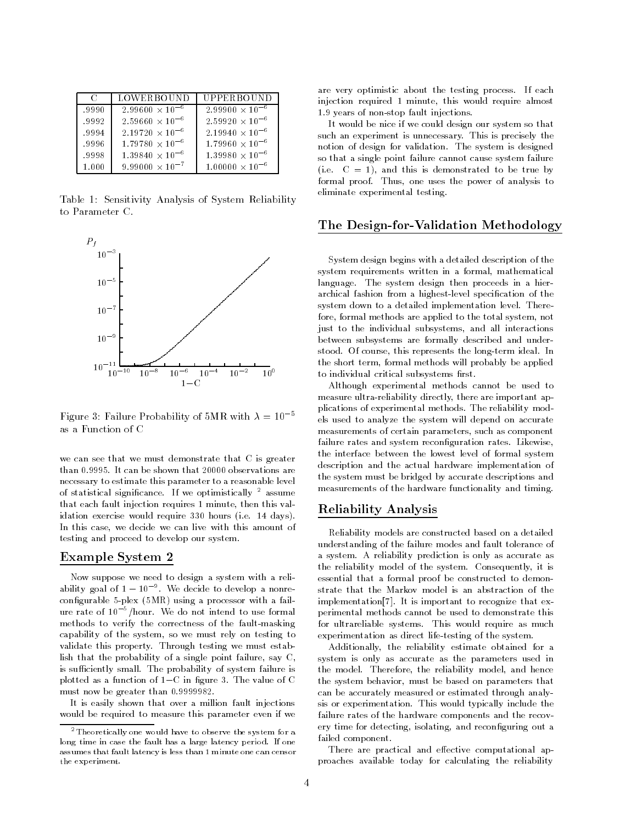| C     | LOWERBOUND               | <b>UPPERBOUND</b>        |
|-------|--------------------------|--------------------------|
| .9990 | $2.99600 \times 10^{-6}$ | $2.99900 \times 10^{-6}$ |
| .9992 | $2.59660 \times 10^{-6}$ | $2.59920 \times 10^{-6}$ |
| .9994 | $2.19720 \times 10^{-6}$ | $2.19940 \times 10^{-6}$ |
| .9996 | $1.79780 \times 10^{-6}$ | $1.79960 \times 10^{-6}$ |
| .9998 | $1.39840 \times 10^{-6}$ | $1.39980 \times 10^{-6}$ |
| 1.000 | $9.99000 \times 10^{-7}$ | $1.00000 \times 10^{-6}$ |

Table 1: Sensitivity Analysis of System Reliability to Parameter C.



Figure 3: Failure Probability of 5MR with  $\lambda = 10^{-5}$ as a Function of C

we can see that we must demonstrate that C is greater than 0.9995. It can be shown that 20000 observations are necessary to estimate this parameter to a reasonable level of statistical significance. If we optimistically  $2$  assume that each fault injection requires 1 minute, then this validation exercise would require 330 hours (i.e. 14 days). In this case, we decide we can live with this amount of testing and proceed to develop our system.

## Example System 2

Now suppose we need to design a system with a reliability goal of  $1 - 10$  , we decide to develop a nonreconfigurable 5-plex (5MR) using a processor with a failure rate of  $10^{-5}/$ hour. We do not intend to use formal methods to verify the correctness of the fault-masking capability of the system, so we must rely on testing to validate this property. Through testing we must establish that the probability of a single point failure, say C, is sufficiently small. The probability of system failure is plotted as a function of  $1-C$  in figure 3. The value of C must now be greater than 0.9999982.

It is easily shown that over a million fault injections would be required to measure this parameter even if we

are very optimistic about the testing process. If each injection required 1 minute, this would require almost 1.9 years of non-stop fault injections.

It would be nice if we could design our system so that such an experiment is unnecessary. This is precisely the notion of design for validation. The system is designed so that a single point failure cannot cause system failure (i.e.  $C = 1$ ), and this is demonstrated to be true by formal proof. Thus, one uses the power of analysis to eliminate experimental testing.

# The Design-for-Validation Methodology

System design begins with a detailed description of the system requirements written in a formal, mathematical language. The system design then proceeds in a hierarchical fashion from a highest-level specication of the system down to a detailed implementation level. Therefore, formal methods are applied to the total system, not just to the individual subsystems, and all interactions between subsystems are formally described and understood. Of course, this represents the long-term ideal. In the short term, formal methods will probably be applied to individual critical subsystems first.

Although experimental methods cannot be used to measure ultra-reliability directly, there are important applications of experimental methods. The reliability models used to analyze the system will depend on accurate measurements of certain parameters, such as component failure rates and system reconfiguration rates. Likewise, the interface between the lowest level of formal system description and the actual hardware implementation of the system must be bridged by accurate descriptions and measurements of the hardware functionality and timing.

# Reliability Analysis

Reliability models are constructed based on a detailed understanding of the failure modes and fault tolerance of a system. A reliability prediction is only as accurate as the reliability model of the system. Consequently, it is essential that a formal proof be constructed to demonstrate that the Markov model is an abstraction of the implementation[7 ]. It is important to recognize that experimental methods cannot be used to demonstrate this for ultrareliable systems. This would require as much experimentation as direct life-testing of the system.

Additionally, the reliability estimate obtained for a system is only as accurate as the parameters used in the model. Therefore, the reliability model, and hence the system behavior, must be based on parameters that can be accurately measured or estimated through analysis or experimentation. This would typically include the failure rates of the hardware components and the recovery time for detecting, isolating, and reconfiguring out a failed component.

There are practical and effective computational approaches available today for calculating the reliability

 $2$ Theoretically one would have to observe the system for a long time in case the fault has a large latency period. If one assumes that fault latency is less than 1 minute one can censor the experiment.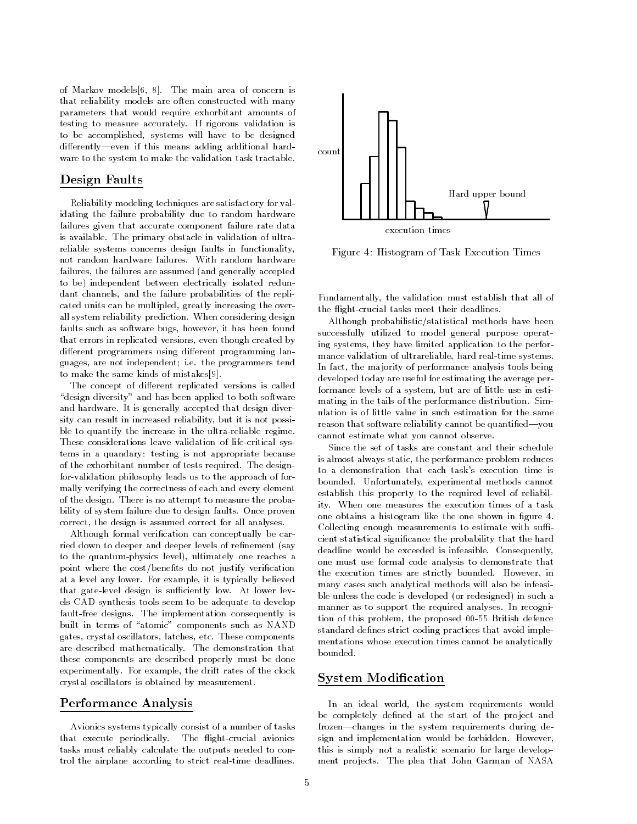of Markov models[6, 8]. The main area of concern is that reliability models are often constructed with many parameters that would require exhorbitant amounts of testing to measure accurately. If rigorous validation is to be accomplished, systems will have to be designed differently-even if this means adding additional hardware to the system to make the validation task tractable.

### Design Faults

Reliability modeling techniques are satisfactory for validating the failure probability due to random hardware failures given that accurate component failure rate data is available. The primary obstacle in validation of ultrareliable systems concerns design faults in functionality, not random hardware failures. With random hardware failures, the failures are assumed (and generally accepted to be) independent between electrically isolated redundant channels, and the failure probabilities of the replicated units can be multipled, greatly increasing the overall system reliability prediction. When considering design faults such as software bugs, however, it has been found that errors in replicated versions, even though created by different programmers using different programming languages, are not independent; i.e. the programmers tend to make the same kinds of mistakes[9].

The concept of different replicated versions is called "design diversity" and has been applied to both software and hardware. It is generally accepted that design diversity can result in increased reliability, but it is not possible to quantify the increase in the ultra-reliable regime. These considerations leave validation of life-critical systems in a quandary: testing is not appropriate because of the exhorbitant number of tests required. The designfor-validation philosophy leads us to the approach of formally verifying the correctness of each and every element of the design. There is no attempt to measure the probability of system failure due to design faults. Once proven correct, the design is assumed correct for all analyses.

Although formal verification can conceptually be carried down to deeper and deeper levels of refinement (say to the quantum-physics level), ultimately one reaches a point where the cost/benefits do not justify verification at a level any lower. For example, it is typically believed that gate-level design is sufficiently low. At lower levels CAD synthesis tools seem to be adequate to develop fault-free designs. The implementation consequently is built in terms of "atomic" components such as NAND gates, crystal oscillators, latches, etc. These components are described mathematically. The demonstration that these components are described properly must be done experimentally. For example, the drift rates of the clock crystal oscillators is obtained by measurement.

### Performance Analysis

Avionics systems typically consist of a number of tasks that execute periodically. The flight-crucial avionics tasks must reliably calculate the outputs needed to control the airplane according to strict real-time deadlines.



Figure 4: Histogram of Task Execution Times

Fundamentally, the validation must establish that all of the flight-crucial tasks meet their deadlines.

Although probabilistic/statistical methods have been successfully utilized to model general purpose operating systems, they have limited application to the perfor mance validation of ultrareliable, hard real-time systems. In fact, the majority of performance analysis tools being developed today are useful for estimating the average performance levels of a system, but are of little use in estimating in the tails of the performance distribution. Simulation is of little value in such estimation for the same reason that software reliability cannot be quantified—you cannot estimate what you cannot observe.

Since the set of tasks are constant and their schedule is almost always static, the performance problem reduces to a demonstration that each task's execution time is bounded. Unfortunately, experimental methods cannot establish this property to the required level of reliability. When one measures the execution times of a task one obtains a histogram like the one shown in figure 4. Collecting enough measurements to estimate with sufficient statistical signicance the probability that the hard deadline would be exceeded is infeasible. Consequently, one must use formal code analysis to demonstrate that the execution times are strictly bounded. However, in many cases such analytical methods will also be infeasible unless the code is developed (or redesigned) in such a manner as to support the required analyses. In recognition of this problem, the proposed 00-55 British defence standard defines strict coding practices that avoid implementations whose execution times cannot be analytically bounded.

#### System Modication

In an ideal world, the system requirements would be completely defined at the start of the project and frozen-changes in the system requirements during design and implementation would be forbidden. However, this is simply not a realistic scenario for large develop ment projects. The plea that John Garman of NASA